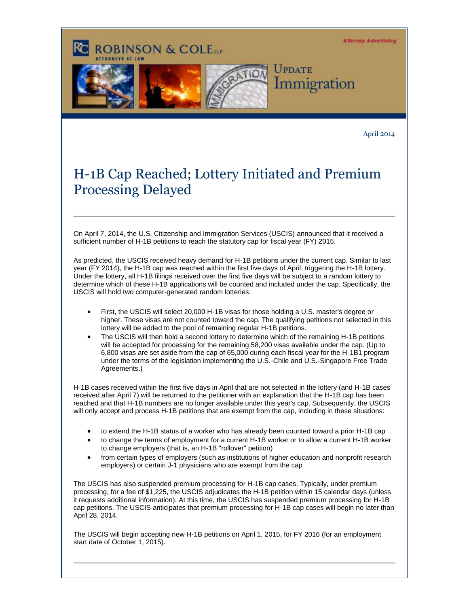**Attorney Advertising** 



**ROBINSON & COLEtte** 

April 2014

## H-1B Cap Reached; Lottery Initiated and Premium Processing Delayed

On April 7, 2014, the U.S. Citizenship and Immigration Services (USCIS) announced that it received a sufficient number of H-1B petitions to reach the statutory cap for fiscal year (FY) 2015.

As predicted, the USCIS received heavy demand for H-1B petitions under the current cap. Similar to last year (FY 2014), the H-1B cap was reached within the first five days of April, triggering the H-1B lottery. Under the lottery, all H-1B filings received over the first five days will be subject to a random lottery to determine which of these H-1B applications will be counted and included under the cap. Specifically, the USCIS will hold two computer-generated random lotteries:

- First, the USCIS will select 20,000 H-1B visas for those holding a U.S. master's degree or higher. These visas are not counted toward the cap. The qualifying petitions not selected in this lottery will be added to the pool of remaining regular H-1B petitions.
- The USCIS will then hold a second lottery to determine which of the remaining H-1B petitions will be accepted for processing for the remaining 58,200 visas available under the cap. (Up to 6,800 visas are set aside from the cap of 65,000 during each fiscal year for the H-1B1 program under the terms of the legislation implementing the U.S.-Chile and U.S.-Singapore Free Trade Agreements.)

H-1B cases received within the first five days in April that are not selected in the lottery (and H-1B cases received after April 7) will be returned to the petitioner with an explanation that the H-1B cap has been reached and that H-1B numbers are no longer available under this year's cap. Subsequently, the USCIS will only accept and process H-1B petitions that are exempt from the cap, including in these situations:

- to extend the H-1B status of a worker who has already been counted toward a prior H-1B cap
- to change the terms of employment for a current H-1B worker or to allow a current H-1B worker to change employers (that is, an H-1B "rollover" petition)
- from certain types of employers (such as institutions of higher education and nonprofit research employers) or certain J-1 physicians who are exempt from the cap

The USCIS has also suspended premium processing for H-1B cap cases. Typically, under premium processing, for a fee of \$1,225, the USCIS adjudicates the H-1B petition within 15 calendar days (unless it requests additional information). At this time, the USCIS has suspended premium processing for H-1B cap petitions. The USCIS anticipates that premium processing for H-1B cap cases will begin no later than April 28, 2014.

The USCIS will begin accepting new H-1B petitions on April 1, 2015, for FY 2016 (for an employment start date of October 1, 2015).